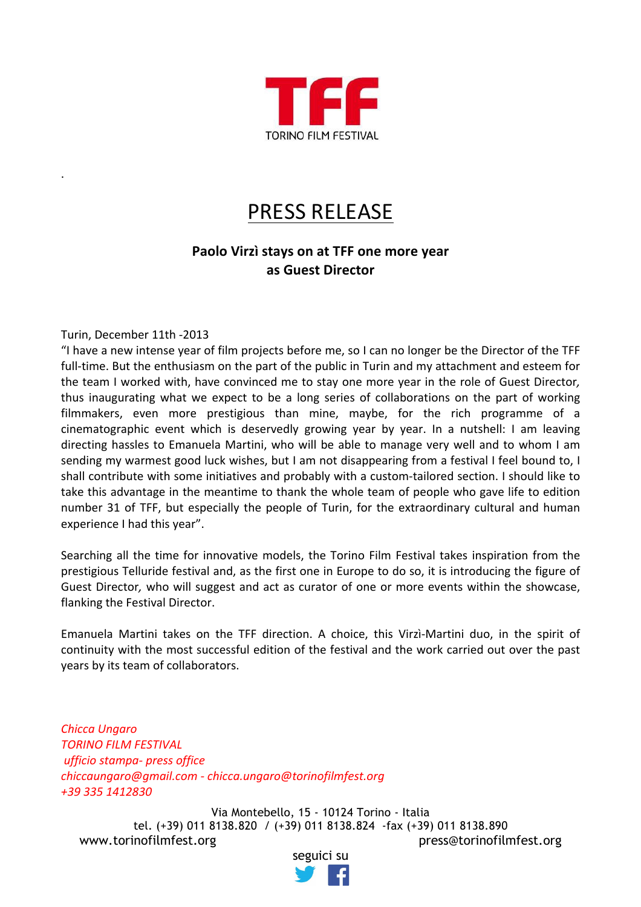

## **PRESS RELEASE**

## Paolo Virzì stays on at TFF one more year **as!Guest!Director**

Turin, December 11th -2013

.

"I have a new intense year of film projects before me, so I can no longer be the Director of the TFF full-time. But the enthusiasm on the part of the public in Turin and my attachment and esteem for the team I worked with, have convinced me to stay one more year in the role of Guest Director, thus inaugurating what we expect to be a long series of collaborations on the part of working filmmakers, even more prestigious than mine, maybe, for the rich programme of a cinematographic event which is deservedly growing year by year. In a nutshell: I am leaving directing hassles to Emanuela Martini, who will be able to manage very well and to whom I am sending my warmest good luck wishes, but I am not disappearing from a festival I feel bound to, I shall contribute with some initiatives and probably with a custom-tailored section. I should like to take this advantage in the meantime to thank the whole team of people who gave life to edition number 31 of TFF, but especially the people of Turin, for the extraordinary cultural and human experience I had this year".

Searching all the time for innovative models, the Torino Film Festival takes inspiration from the prestigious Telluride festival and, as the first one in Europe to do so, it is introducing the figure of Guest Director, who will suggest and act as curator of one or more events within the showcase, flanking the Festival Director.

Emanuela Martini takes on the TFF direction. A choice, this Virzì-Martini duo, in the spirit of continuity with the most successful edition of the festival and the work carried out over the past years by its team of collaborators.

*Chicca"Ungaro* **TORINO FILM FESTIVAL** *ufficio"stampa? press"office chiccaungaro@gmail.com ? chicca.ungaro@torinofilmfest.org +39"335"1412830*

Via Montebello, 15 - 10124 Torino - Italia tel. (+39) 011 8138.820 / (+39) 011 8138.824 -fax (+39) 011 8138.890 www.torinofilmfest.org press@torinofilmfest.org